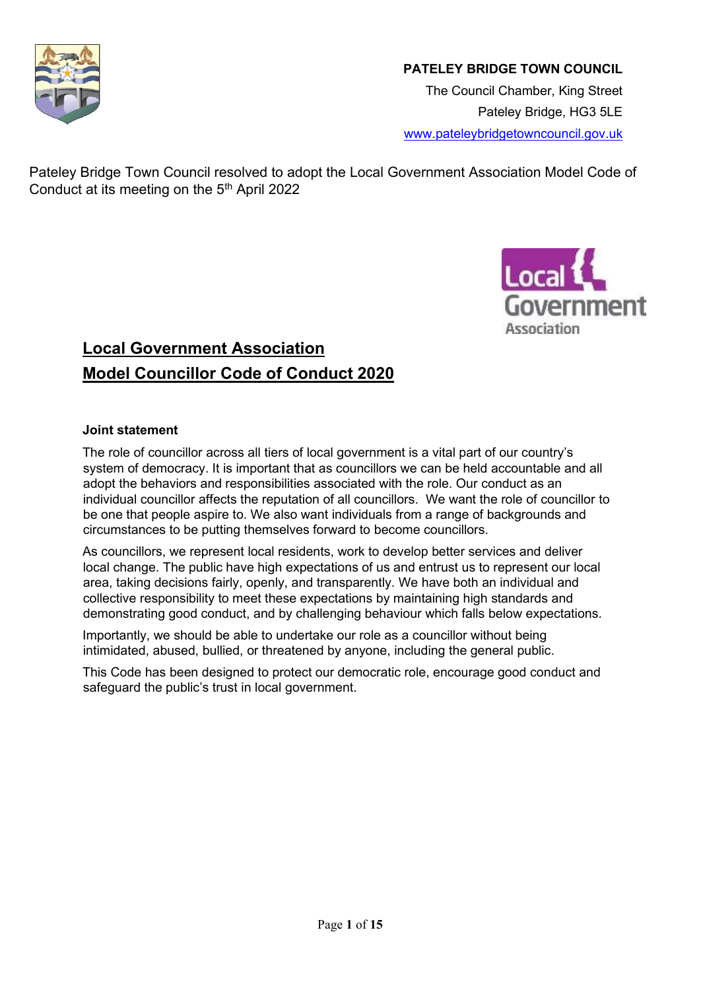

## **PATELEY BRIDGE TOWN COUNCIL**

The Council Chamber, King Street Pateley Bridge, HG3 5LE [www.pateleybridgetowncouncil.gov.uk](http://www.pateleybridgetowncouncil.gov.uk/)

Pateley Bridge Town Council resolved to adopt the Local Government Association Model Code of Conduct at its meeting on the  $5<sup>th</sup>$  April 2022



# **Local Government Association Model Councillor Code of Conduct 2020**

#### **Joint statement**

The role of councillor across all tiers of local government is a vital part of our country's system of democracy. It is important that as councillors we can be held accountable and all adopt the behaviors and responsibilities associated with the role. Our conduct as an individual councillor affects the reputation of all councillors. We want the role of councillor to be one that people aspire to. We also want individuals from a range of backgrounds and circumstances to be putting themselves forward to become councillors.

As councillors, we represent local residents, work to develop better services and deliver local change. The public have high expectations of us and entrust us to represent our local area, taking decisions fairly, openly, and transparently. We have both an individual and collective responsibility to meet these expectations by maintaining high standards and demonstrating good conduct, and by challenging behaviour which falls below expectations.

Importantly, we should be able to undertake our role as a councillor without being intimidated, abused, bullied, or threatened by anyone, including the general public.

This Code has been designed to protect our democratic role, encourage good conduct and safeguard the public's trust in local government.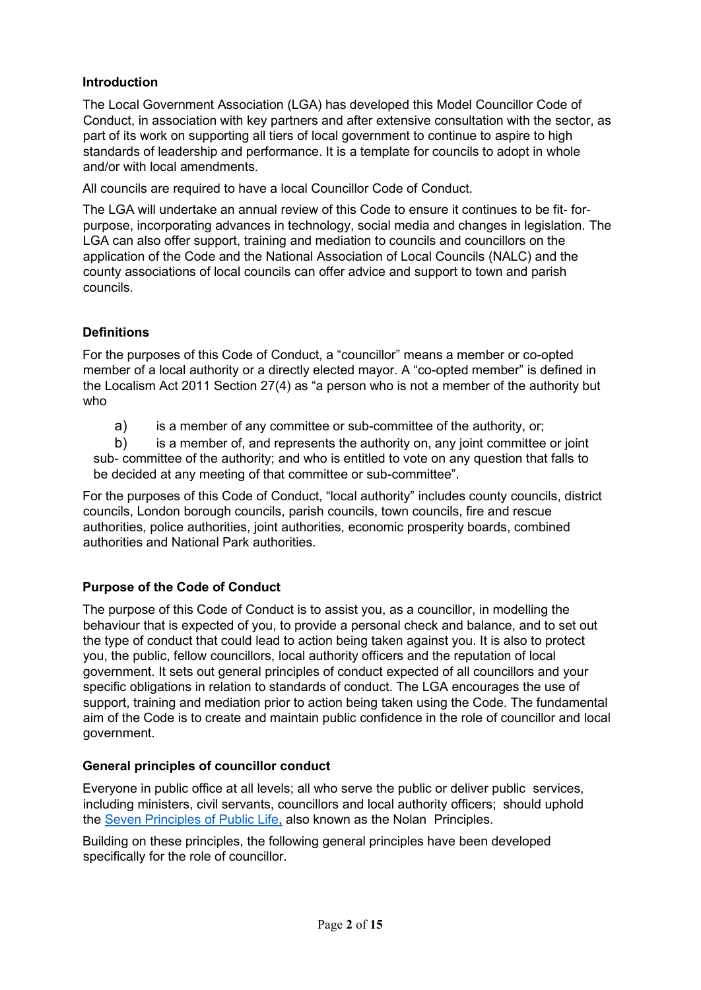## **Introduction**

The Local Government Association (LGA) has developed this Model Councillor Code of Conduct, in association with key partners and after extensive consultation with the sector, as part of its work on supporting all tiers of local government to continue to aspire to high standards of leadership and performance. It is a template for councils to adopt in whole and/or with local amendments.

All councils are required to have a local Councillor Code of Conduct.

The LGA will undertake an annual review of this Code to ensure it continues to be fit- forpurpose, incorporating advances in technology, social media and changes in legislation. The LGA can also offer support, training and mediation to councils and councillors on the application of the Code and the National Association of Local Councils (NALC) and the county associations of local councils can offer advice and support to town and parish councils.

## **Definitions**

For the purposes of this Code of Conduct, a "councillor" means a member or co-opted member of a local authority or a directly elected mayor. A "co-opted member" is defined in the Localism Act 2011 Section 27(4) as "a person who is not a member of the authority but who

a) is a member of any committee or sub-committee of the authority, or;

b) is a member of, and represents the authority on, any joint committee or joint sub- committee of the authority; and who is entitled to vote on any question that falls to be decided at any meeting of that committee or sub-committee".

For the purposes of this Code of Conduct, "local authority" includes county councils, district councils, London borough councils, parish councils, town councils, fire and rescue authorities, police authorities, joint authorities, economic prosperity boards, combined authorities and National Park authorities.

## **Purpose of the Code of Conduct**

The purpose of this Code of Conduct is to assist you, as a councillor, in modelling the behaviour that is expected of you, to provide a personal check and balance, and to set out the type of conduct that could lead to action being taken against you. It is also to protect you, the public, fellow councillors, local authority officers and the reputation of local government. It sets out general principles of conduct expected of all councillors and your specific obligations in relation to standards of conduct. The LGA encourages the use of support, training and mediation prior to action being taken using the Code. The fundamental aim of the Code is to create and maintain public confidence in the role of councillor and local government.

#### **General principles of councillor conduct**

Everyone in public office at all levels; all who serve the public or deliver public services, including ministers, civil servants, councillors and local authority officers; should uphold th[e](https://www.gov.uk/government/publications/the-7-principles-of-public-life/the-7-principles-of-public-life--2) [Seven](https://www.gov.uk/government/publications/the-7-principles-of-public-life/the-7-principles-of-public-life--2) [Principles of Public Life,](https://www.gov.uk/government/publications/the-7-principles-of-public-life/the-7-principles-of-public-life--2) also known as the Nolan Principles.

Building on these principles, the following general principles have been developed specifically for the role of councillor.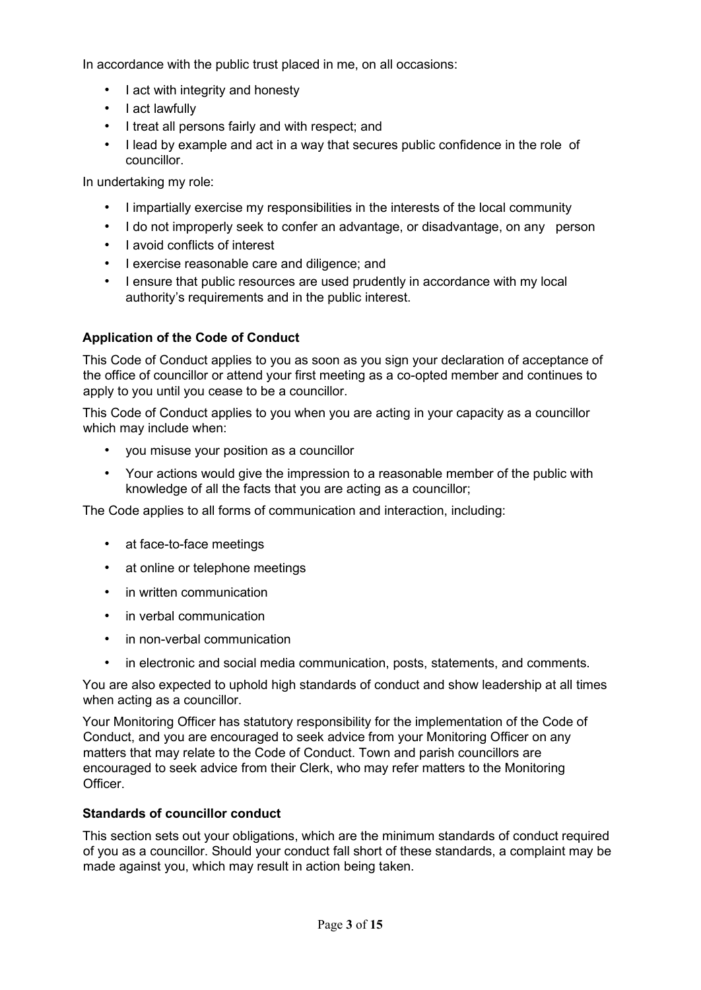In accordance with the public trust placed in me, on all occasions:

- I act with integrity and honesty
- I act lawfully
- I treat all persons fairly and with respect; and
- I lead by example and act in a way that secures public confidence in the role of councillor.

In undertaking my role:

- I impartially exercise my responsibilities in the interests of the local community
- I do not improperly seek to confer an advantage, or disadvantage, on any person
- I avoid conflicts of interest
- I exercise reasonable care and diligence; and
- I ensure that public resources are used prudently in accordance with my local authority's requirements and in the public interest.

## **Application of the Code of Conduct**

This Code of Conduct applies to you as soon as you sign your declaration of acceptance of the office of councillor or attend your first meeting as a co-opted member and continues to apply to you until you cease to be a councillor.

This Code of Conduct applies to you when you are acting in your capacity as a councillor which may include when:

- you misuse your position as a councillor
- Your actions would give the impression to a reasonable member of the public with knowledge of all the facts that you are acting as a councillor;

The Code applies to all forms of communication and interaction, including:

- at face-to-face meetings
- at online or telephone meetings
- in written communication
- in verbal communication
- in non-verbal communication
- in electronic and social media communication, posts, statements, and comments.

You are also expected to uphold high standards of conduct and show leadership at all times when acting as a councillor.

Your Monitoring Officer has statutory responsibility for the implementation of the Code of Conduct, and you are encouraged to seek advice from your Monitoring Officer on any matters that may relate to the Code of Conduct. Town and parish councillors are encouraged to seek advice from their Clerk, who may refer matters to the Monitoring Officer.

#### **Standards of councillor conduct**

This section sets out your obligations, which are the minimum standards of conduct required of you as a councillor. Should your conduct fall short of these standards, a complaint may be made against you, which may result in action being taken.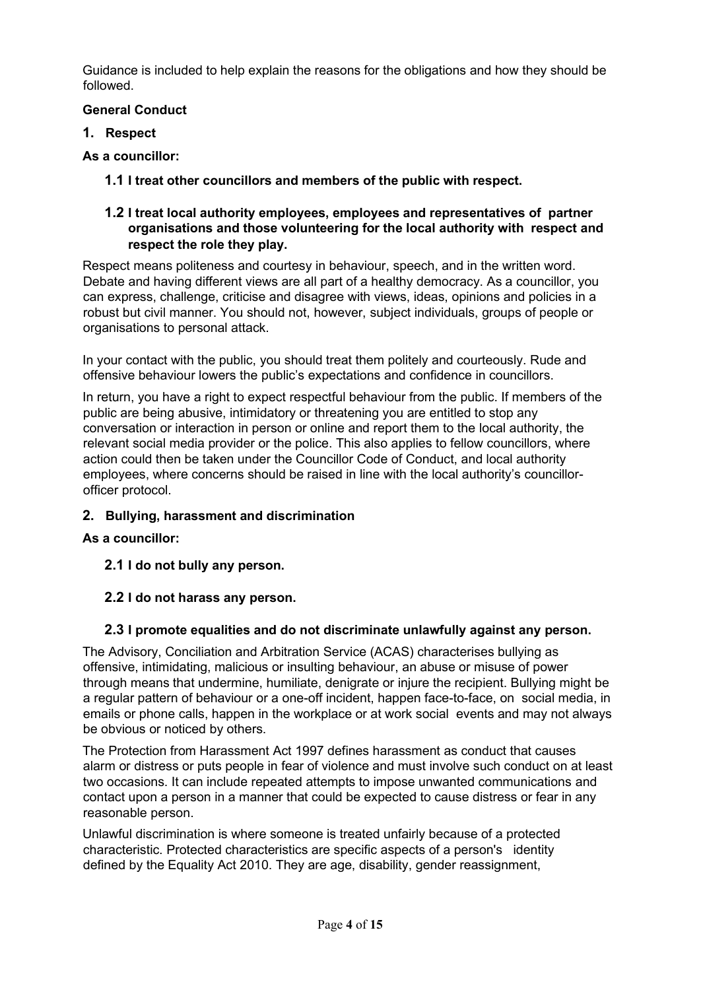Guidance is included to help explain the reasons for the obligations and how they should be followed.

## **General Conduct**

**1. Respect** 

## **As a councillor:**

**1.1 I treat other councillors and members of the public with respect.**

### **1.2 I treat local authority employees, employees and representatives of partner organisations and those volunteering for the local authority with respect and respect the role they play.**

Respect means politeness and courtesy in behaviour, speech, and in the written word. Debate and having different views are all part of a healthy democracy. As a councillor, you can express, challenge, criticise and disagree with views, ideas, opinions and policies in a robust but civil manner. You should not, however, subject individuals, groups of people or organisations to personal attack.

In your contact with the public, you should treat them politely and courteously. Rude and offensive behaviour lowers the public's expectations and confidence in councillors.

In return, you have a right to expect respectful behaviour from the public. If members of the public are being abusive, intimidatory or threatening you are entitled to stop any conversation or interaction in person or online and report them to the local authority, the relevant social media provider or the police. This also applies to fellow councillors, where action could then be taken under the Councillor Code of Conduct, and local authority employees, where concerns should be raised in line with the local authority's councillorofficer protocol.

## **2. Bullying, harassment and discrimination**

## **As a councillor:**

**2.1 I do not bully any person.**

## **2.2 I do not harass any person.**

## **2.3 I promote equalities and do not discriminate unlawfully against any person.**

The Advisory, Conciliation and Arbitration Service (ACAS) characterises bullying as offensive, intimidating, malicious or insulting behaviour, an abuse or misuse of power through means that undermine, humiliate, denigrate or injure the recipient. Bullying might be a regular pattern of behaviour or a one-off incident, happen face-to-face, on social media, in emails or phone calls, happen in the workplace or at work social events and may not always be obvious or noticed by others.

The Protection from Harassment Act 1997 defines harassment as conduct that causes alarm or distress or puts people in fear of violence and must involve such conduct on at least two occasions. It can include repeated attempts to impose unwanted communications and contact upon a person in a manner that could be expected to cause distress or fear in any reasonable person.

Unlawful discrimination is where someone is treated unfairly because of a protected characteristic. Protected characteristics are specific aspects of a person's identity defined by the Equality Act 2010. They are age, disability, gender reassignment,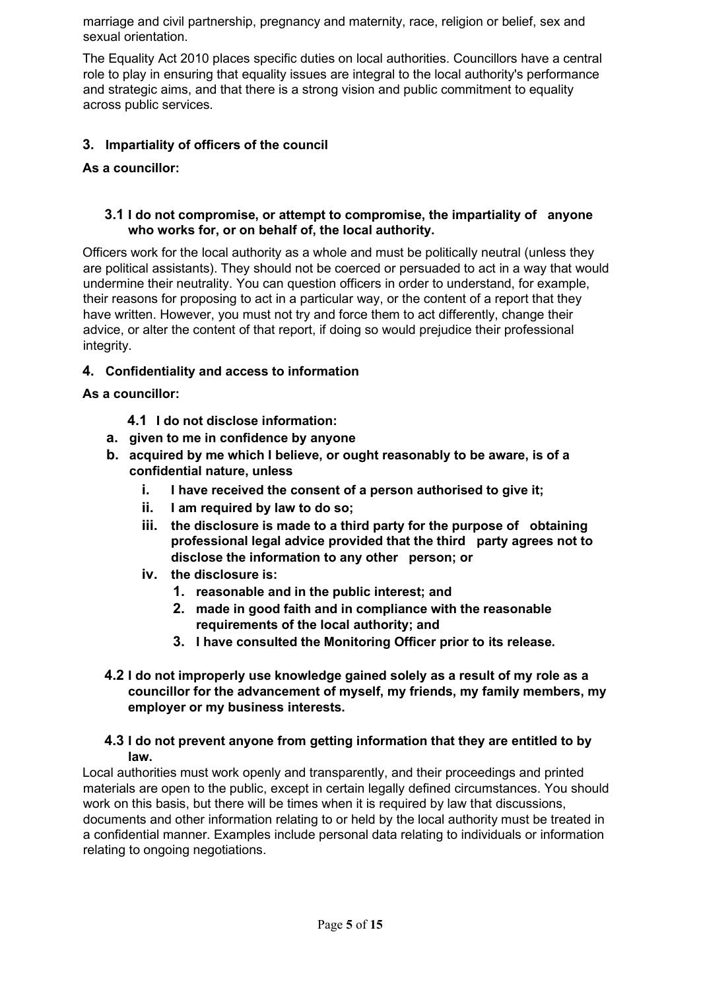marriage and civil partnership, pregnancy and maternity, race, religion or belief, sex and sexual orientation.

The Equality Act 2010 places specific duties on local authorities. Councillors have a central role to play in ensuring that equality issues are integral to the local authority's performance and strategic aims, and that there is a strong vision and public commitment to equality across public services.

## **3. Impartiality of officers of the council**

## **As a councillor:**

#### **3.1 I do not compromise, or attempt to compromise, the impartiality of anyone who works for, or on behalf of, the local authority.**

Officers work for the local authority as a whole and must be politically neutral (unless they are political assistants). They should not be coerced or persuaded to act in a way that would undermine their neutrality. You can question officers in order to understand, for example, their reasons for proposing to act in a particular way, or the content of a report that they have written. However, you must not try and force them to act differently, change their advice, or alter the content of that report, if doing so would prejudice their professional integrity.

## **4. Confidentiality and access to information**

#### **As a councillor:**

- **4.1 I do not disclose information:**
- **a. given to me in confidence by anyone**
- **b. acquired by me which I believe, or ought reasonably to be aware, is of a confidential nature, unless**
	- **i. I have received the consent of a person authorised to give it;**
	- **ii. I am required by law to do so;**
	- **iii. the disclosure is made to a third party for the purpose of obtaining professional legal advice provided that the third party agrees not to disclose the information to any other person; or**
	- **iv. the disclosure is:**
		- **1. reasonable and in the public interest; and**
		- **2. made in good faith and in compliance with the reasonable requirements of the local authority; and**
		- **3. I have consulted the Monitoring Officer prior to its release.**
- **4.2 I do not improperly use knowledge gained solely as a result of my role as a councillor for the advancement of myself, my friends, my family members, my employer or my business interests.**

#### **4.3 I do not prevent anyone from getting information that they are entitled to by law.**

Local authorities must work openly and transparently, and their proceedings and printed materials are open to the public, except in certain legally defined circumstances. You should work on this basis, but there will be times when it is required by law that discussions, documents and other information relating to or held by the local authority must be treated in a confidential manner. Examples include personal data relating to individuals or information relating to ongoing negotiations.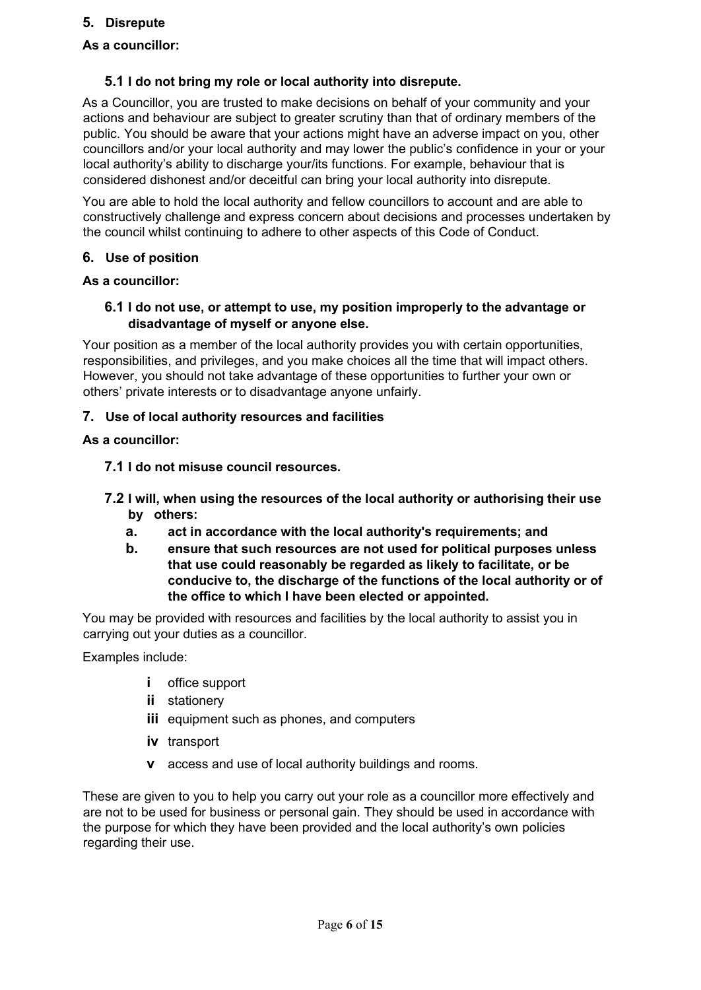#### **5. Disrepute**

### **As a councillor:**

#### **5.1 I do not bring my role or local authority into disrepute.**

As a Councillor, you are trusted to make decisions on behalf of your community and your actions and behaviour are subject to greater scrutiny than that of ordinary members of the public. You should be aware that your actions might have an adverse impact on you, other councillors and/or your local authority and may lower the public's confidence in your or your local authority's ability to discharge your/its functions. For example, behaviour that is considered dishonest and/or deceitful can bring your local authority into disrepute.

You are able to hold the local authority and fellow councillors to account and are able to constructively challenge and express concern about decisions and processes undertaken by the council whilst continuing to adhere to other aspects of this Code of Conduct.

#### **6. Use of position**

#### **As a councillor:**

#### **6.1 I do not use, or attempt to use, my position improperly to the advantage or disadvantage of myself or anyone else.**

Your position as a member of the local authority provides you with certain opportunities, responsibilities, and privileges, and you make choices all the time that will impact others. However, you should not take advantage of these opportunities to further your own or others' private interests or to disadvantage anyone unfairly.

#### **7. Use of local authority resources and facilities**

#### **As a councillor:**

- **7.1 I do not misuse council resources.**
- **7.2 I will, when using the resources of the local authority or authorising their use by others:**
	- **a. act in accordance with the local authority's requirements; and**
	- **b. ensure that such resources are not used for political purposes unless that use could reasonably be regarded as likely to facilitate, or be conducive to, the discharge of the functions of the local authority or of the office to which I have been elected or appointed.**

You may be provided with resources and facilities by the local authority to assist you in carrying out your duties as a councillor.

Examples include:

- **i** office support
- **ii** stationery
- **iii** equipment such as phones, and computers
- **iv** transport
- **v** access and use of local authority buildings and rooms.

These are given to you to help you carry out your role as a councillor more effectively and are not to be used for business or personal gain. They should be used in accordance with the purpose for which they have been provided and the local authority's own policies regarding their use.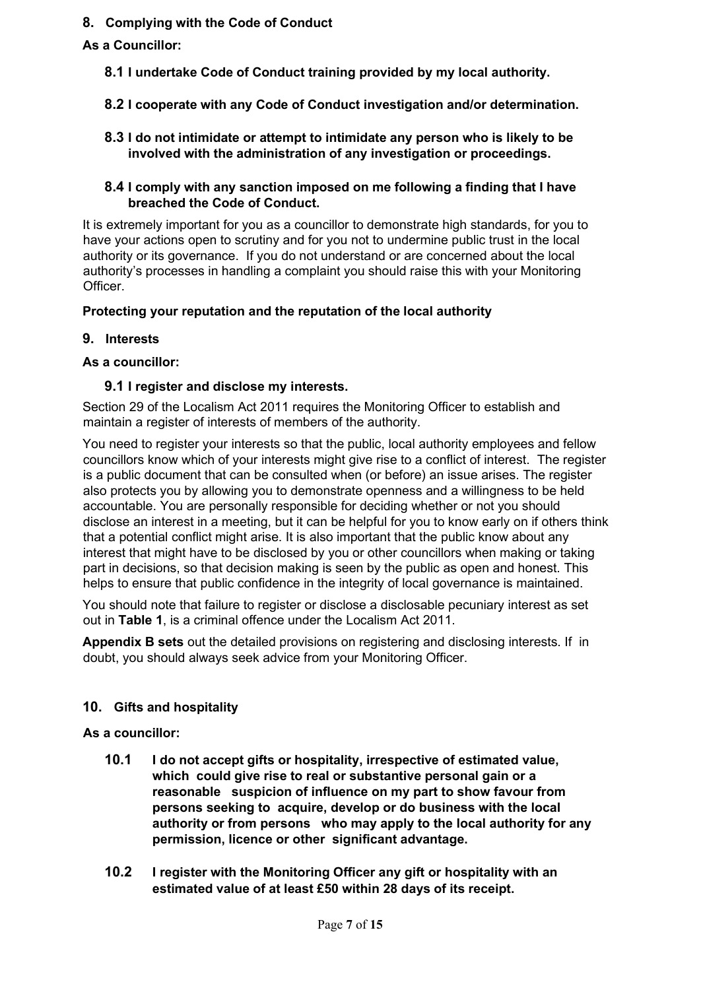### **8. Complying with the Code of Conduct**

## **As a Councillor:**

- **8.1 I undertake Code of Conduct training provided by my local authority.**
- **8.2 I cooperate with any Code of Conduct investigation and/or determination.**
- **8.3 I do not intimidate or attempt to intimidate any person who is likely to be involved with the administration of any investigation or proceedings.**

#### **8.4 I comply with any sanction imposed on me following a finding that I have breached the Code of Conduct.**

It is extremely important for you as a councillor to demonstrate high standards, for you to have your actions open to scrutiny and for you not to undermine public trust in the local authority or its governance. If you do not understand or are concerned about the local authority's processes in handling a complaint you should raise this with your Monitoring Officer.

#### **Protecting your reputation and the reputation of the local authority**

#### **9. Interests**

#### **As a councillor:**

#### **9.1 I register and disclose my interests.**

Section 29 of the Localism Act 2011 requires the Monitoring Officer to establish and maintain a register of interests of members of the authority.

You need to register your interests so that the public, local authority employees and fellow councillors know which of your interests might give rise to a conflict of interest. The register is a public document that can be consulted when (or before) an issue arises. The register also protects you by allowing you to demonstrate openness and a willingness to be held accountable. You are personally responsible for deciding whether or not you should disclose an interest in a meeting, but it can be helpful for you to know early on if others think that a potential conflict might arise. It is also important that the public know about any interest that might have to be disclosed by you or other councillors when making or taking part in decisions, so that decision making is seen by the public as open and honest. This helps to ensure that public confidence in the integrity of local governance is maintained.

You should note that failure to register or disclose a disclosable pecuniary interest as set out in **Table 1**, is a criminal offence under the Localism Act 2011.

**Appendix B sets** out the detailed provisions on registering and disclosing interests. If in doubt, you should always seek advice from your Monitoring Officer.

## **10. Gifts and hospitality**

#### **As a councillor:**

- **10.1 I do not accept gifts or hospitality, irrespective of estimated value, which could give rise to real or substantive personal gain or a reasonable suspicion of influence on my part to show favour from persons seeking to acquire, develop or do business with the local authority or from persons who may apply to the local authority for any permission, licence or other significant advantage.**
- **10.2 I register with the Monitoring Officer any gift or hospitality with an estimated value of at least £50 within 28 days of its receipt.**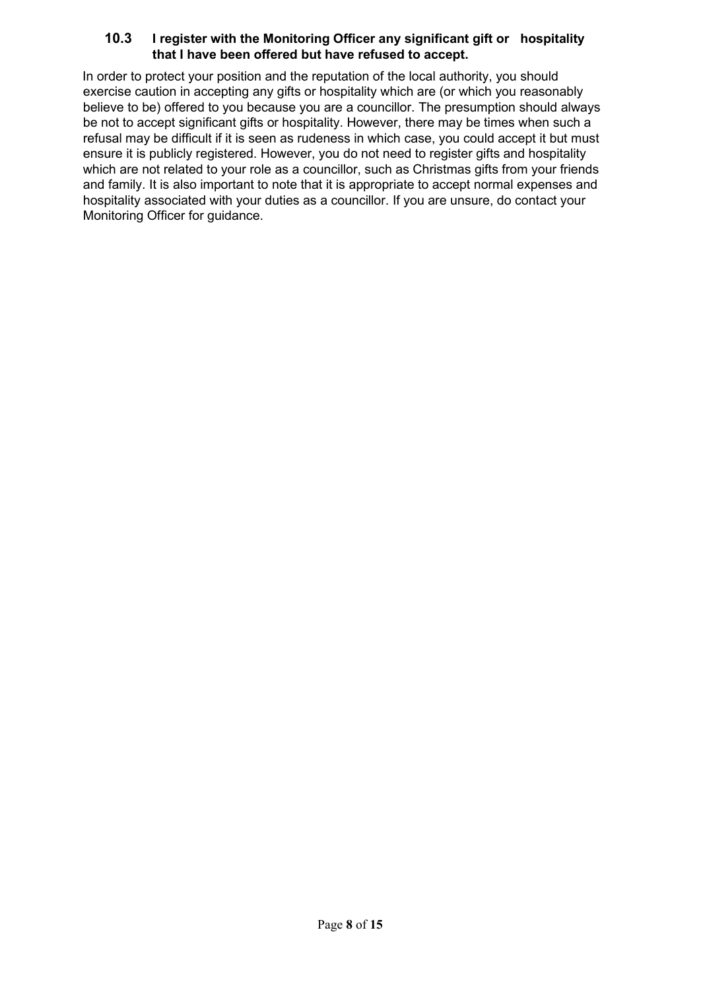## **10.3 I register with the Monitoring Officer any significant gift or hospitality that I have been offered but have refused to accept.**

In order to protect your position and the reputation of the local authority, you should exercise caution in accepting any gifts or hospitality which are (or which you reasonably believe to be) offered to you because you are a councillor. The presumption should always be not to accept significant gifts or hospitality. However, there may be times when such a refusal may be difficult if it is seen as rudeness in which case, you could accept it but must ensure it is publicly registered. However, you do not need to register gifts and hospitality which are not related to your role as a councillor, such as Christmas gifts from your friends and family. It is also important to note that it is appropriate to accept normal expenses and hospitality associated with your duties as a councillor. If you are unsure, do contact your Monitoring Officer for guidance.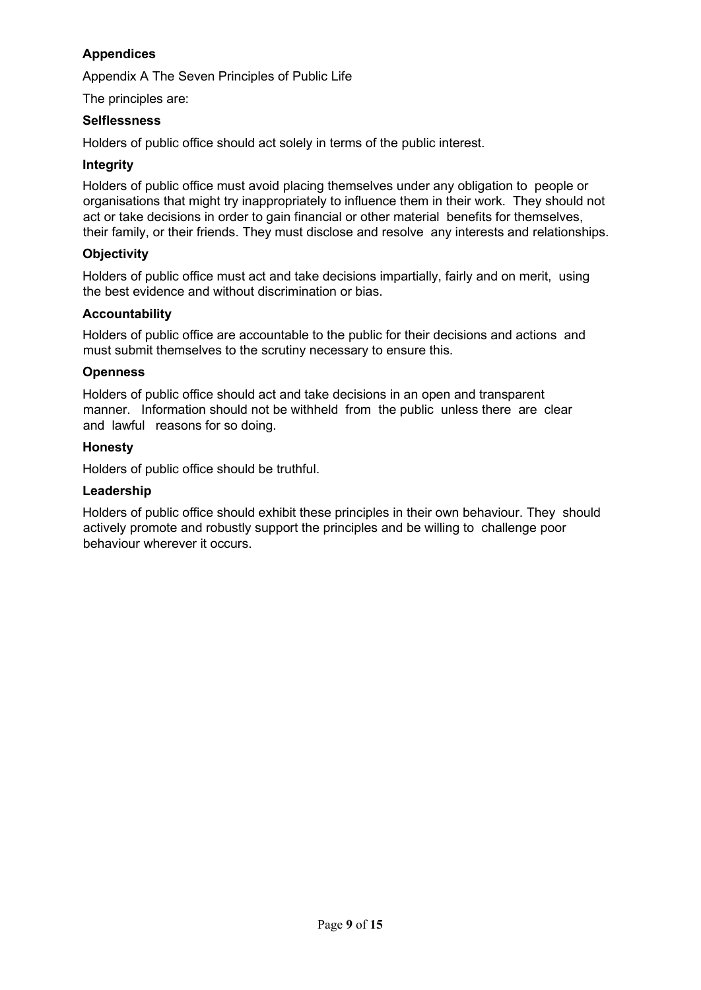## **Appendices**

Appendix A The Seven Principles of Public Life

The principles are:

#### **Selflessness**

Holders of public office should act solely in terms of the public interest.

#### **Integrity**

Holders of public office must avoid placing themselves under any obligation to people or organisations that might try inappropriately to influence them in their work. They should not act or take decisions in order to gain financial or other material benefits for themselves, their family, or their friends. They must disclose and resolve any interests and relationships.

#### **Objectivity**

Holders of public office must act and take decisions impartially, fairly and on merit, using the best evidence and without discrimination or bias.

#### **Accountability**

Holders of public office are accountable to the public for their decisions and actions and must submit themselves to the scrutiny necessary to ensure this.

#### **Openness**

Holders of public office should act and take decisions in an open and transparent manner. Information should not be withheld from the public unless there are clear and lawful reasons for so doing.

#### **Honesty**

Holders of public office should be truthful.

#### **Leadership**

Holders of public office should exhibit these principles in their own behaviour. They should actively promote and robustly support the principles and be willing to challenge poor behaviour wherever it occurs.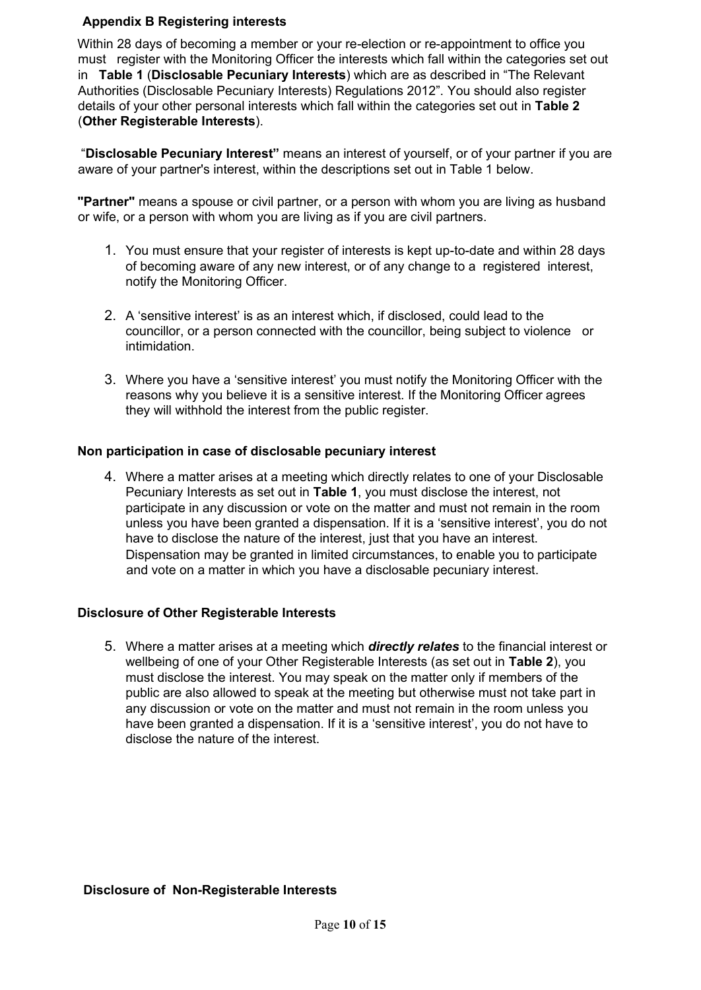#### **Appendix B Registering interests**

Within 28 days of becoming a member or your re-election or re-appointment to office you must register with the Monitoring Officer the interests which fall within the categories set out in **Table 1** (**Disclosable Pecuniary Interests**) which are as described in "The Relevant Authorities (Disclosable Pecuniary Interests) Regulations 2012". You should also register details of your other personal interests which fall within the categories set out in **Table 2** (**Other Registerable Interests**).

"**Disclosable Pecuniary Interest"** means an interest of yourself, or of your partner if you are aware of your partner's interest, within the descriptions set out in Table 1 below.

**"Partner"** means a spouse or civil partner, or a person with whom you are living as husband or wife, or a person with whom you are living as if you are civil partners.

- 1. You must ensure that your register of interests is kept up-to-date and within 28 days of becoming aware of any new interest, or of any change to a registered interest, notify the Monitoring Officer.
- 2. A 'sensitive interest' is as an interest which, if disclosed, could lead to the councillor, or a person connected with the councillor, being subject to violence or intimidation.
- 3. Where you have a 'sensitive interest' you must notify the Monitoring Officer with the reasons why you believe it is a sensitive interest. If the Monitoring Officer agrees they will withhold the interest from the public register.

#### **Non participation in case of disclosable pecuniary interest**

4. Where a matter arises at a meeting which directly relates to one of your Disclosable Pecuniary Interests as set out in **Table 1**, you must disclose the interest, not participate in any discussion or vote on the matter and must not remain in the room unless you have been granted a dispensation. If it is a 'sensitive interest', you do not have to disclose the nature of the interest, just that you have an interest. Dispensation may be granted in limited circumstances, to enable you to participate and vote on a matter in which you have a disclosable pecuniary interest.

#### **Disclosure of Other Registerable Interests**

5. Where a matter arises at a meeting which *directly relates* to the financial interest or wellbeing of one of your Other Registerable Interests (as set out in **Table 2**), you must disclose the interest. You may speak on the matter only if members of the public are also allowed to speak at the meeting but otherwise must not take part in any discussion or vote on the matter and must not remain in the room unless you have been granted a dispensation. If it is a 'sensitive interest', you do not have to disclose the nature of the interest.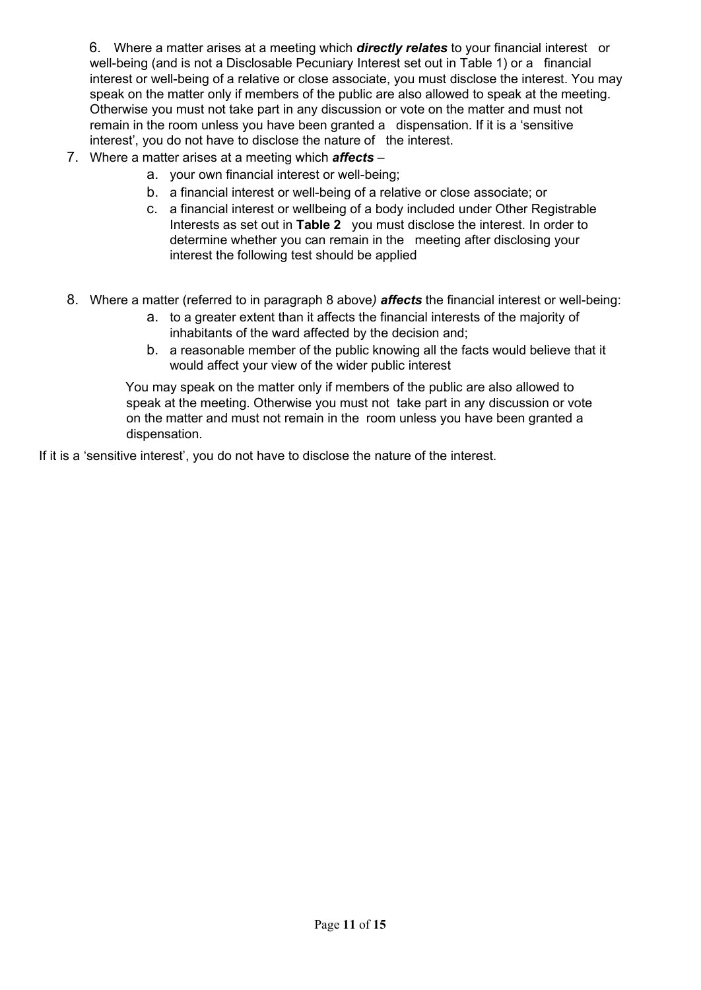6. Where a matter arises at a meeting which *directly relates* to your financial interest or well-being (and is not a Disclosable Pecuniary Interest set out in Table 1) or a financial interest or well-being of a relative or close associate, you must disclose the interest. You may speak on the matter only if members of the public are also allowed to speak at the meeting. Otherwise you must not take part in any discussion or vote on the matter and must not remain in the room unless you have been granted a dispensation. If it is a 'sensitive interest', you do not have to disclose the nature of the interest.

- 7. Where a matter arises at a meeting which *affects*
	- a. your own financial interest or well-being;
	- b. a financial interest or well-being of a relative or close associate; or
	- c. a financial interest or wellbeing of a body included under Other Registrable Interests as set out in **Table 2** you must disclose the interest. In order to determine whether you can remain in the meeting after disclosing your interest the following test should be applied
- 8. Where a matter (referred to in paragraph 8 above*) affects* the financial interest or well-being:
	- a. to a greater extent than it affects the financial interests of the majority of inhabitants of the ward affected by the decision and;
	- b. a reasonable member of the public knowing all the facts would believe that it would affect your view of the wider public interest

You may speak on the matter only if members of the public are also allowed to speak at the meeting. Otherwise you must not take part in any discussion or vote on the matter and must not remain in the room unless you have been granted a dispensation.

If it is a 'sensitive interest', you do not have to disclose the nature of the interest.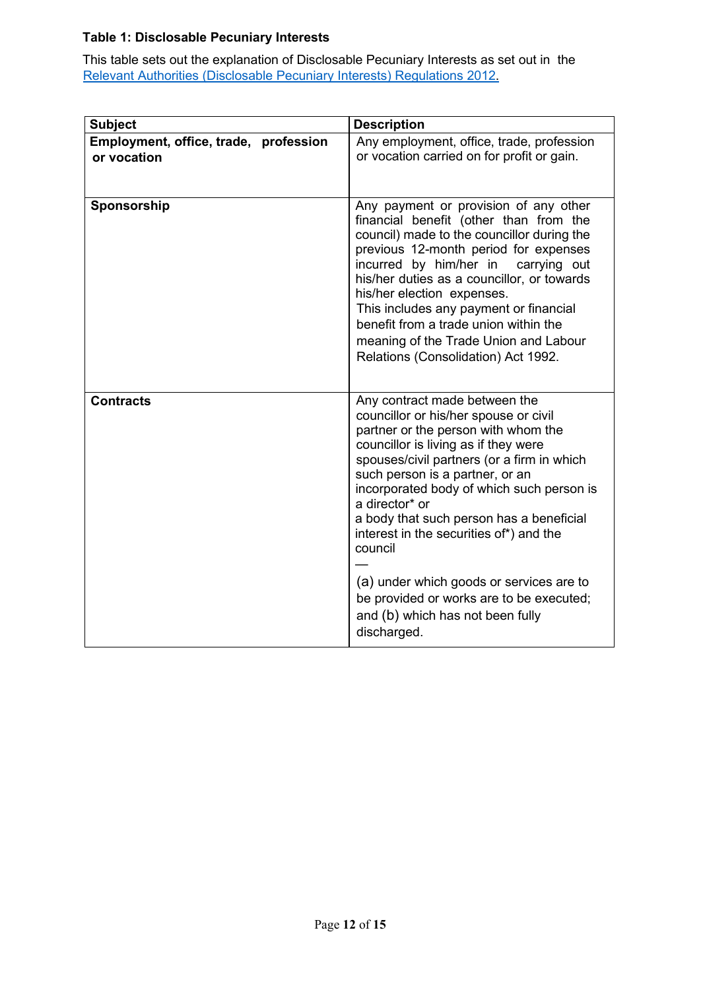## **Table 1: Disclosable Pecuniary Interests**

This table sets out the explanation of Disclosable Pecuniary Interests as set out in the [Relevant Authorities](https://www.legislation.gov.uk/uksi/2012/1464/made) [\(Disclosable Pecuniary Interests\) Regulations](https://www.legislation.gov.uk/uksi/2012/1464/made) [2012.](https://www.legislation.gov.uk/uksi/2012/1464/made)

| <b>Subject</b>                                       | <b>Description</b>                                                                                                                                                                                                                                                                                                                                                                                                                                                                                                                                 |
|------------------------------------------------------|----------------------------------------------------------------------------------------------------------------------------------------------------------------------------------------------------------------------------------------------------------------------------------------------------------------------------------------------------------------------------------------------------------------------------------------------------------------------------------------------------------------------------------------------------|
| Employment, office, trade, profession<br>or vocation | Any employment, office, trade, profession<br>or vocation carried on for profit or gain.                                                                                                                                                                                                                                                                                                                                                                                                                                                            |
| Sponsorship                                          | Any payment or provision of any other<br>financial benefit (other than from the<br>council) made to the councillor during the<br>previous 12-month period for expenses<br>incurred by him/her in<br>carrying out<br>his/her duties as a councillor, or towards<br>his/her election expenses.<br>This includes any payment or financial<br>benefit from a trade union within the<br>meaning of the Trade Union and Labour<br>Relations (Consolidation) Act 1992.                                                                                    |
| <b>Contracts</b>                                     | Any contract made between the<br>councillor or his/her spouse or civil<br>partner or the person with whom the<br>councillor is living as if they were<br>spouses/civil partners (or a firm in which<br>such person is a partner, or an<br>incorporated body of which such person is<br>a director* or<br>a body that such person has a beneficial<br>interest in the securities of*) and the<br>council<br>(a) under which goods or services are to<br>be provided or works are to be executed;<br>and (b) which has not been fully<br>discharged. |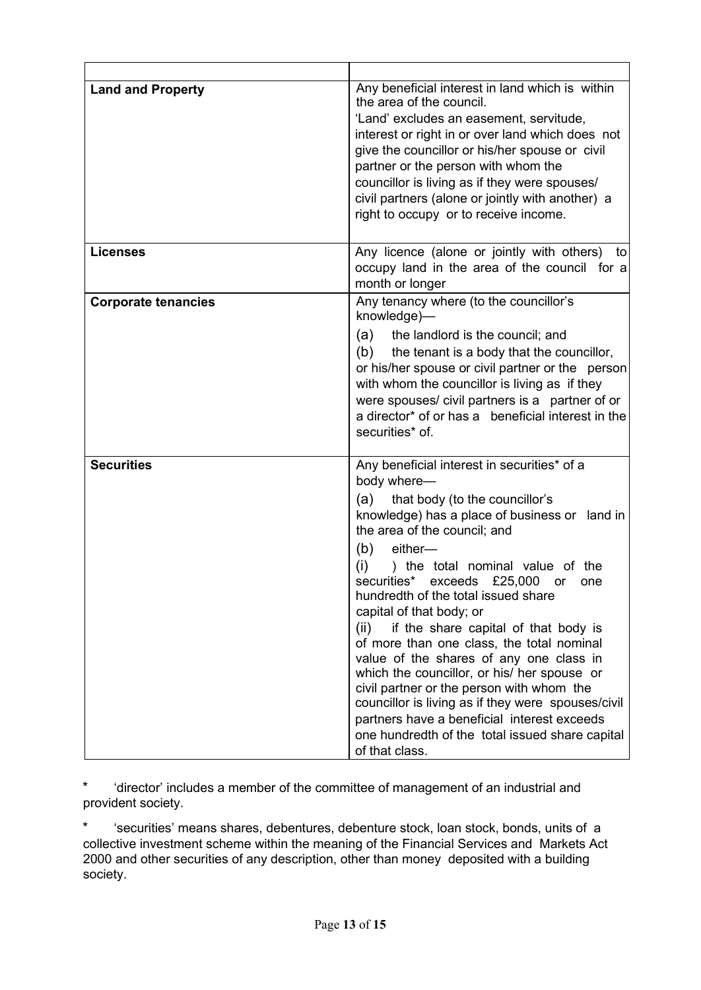| <b>Land and Property</b>   | Any beneficial interest in land which is within<br>the area of the council.<br>'Land' excludes an easement, servitude,<br>interest or right in or over land which does not<br>give the councillor or his/her spouse or civil<br>partner or the person with whom the<br>councillor is living as if they were spouses/<br>civil partners (alone or jointly with another) a<br>right to occupy or to receive income.                                                                                                                                                                                                                                                                                                                                                                 |
|----------------------------|-----------------------------------------------------------------------------------------------------------------------------------------------------------------------------------------------------------------------------------------------------------------------------------------------------------------------------------------------------------------------------------------------------------------------------------------------------------------------------------------------------------------------------------------------------------------------------------------------------------------------------------------------------------------------------------------------------------------------------------------------------------------------------------|
| <b>Licenses</b>            | Any licence (alone or jointly with others)<br>to<br>occupy land in the area of the council for a<br>month or longer                                                                                                                                                                                                                                                                                                                                                                                                                                                                                                                                                                                                                                                               |
| <b>Corporate tenancies</b> | Any tenancy where (to the councillor's<br>knowledge)-<br>the landlord is the council; and<br>(a)<br>(b)<br>the tenant is a body that the councillor,<br>or his/her spouse or civil partner or the person<br>with whom the councillor is living as if they<br>were spouses/ civil partners is a partner of or<br>a director* of or has a beneficial interest in the<br>securities* of.                                                                                                                                                                                                                                                                                                                                                                                             |
| <b>Securities</b>          | Any beneficial interest in securities* of a<br>body where-<br>that body (to the councillor's<br>(a)<br>knowledge) has a place of business or land in<br>the area of the council; and<br>(b)<br>either-<br>(i)<br>) the total nominal value of the<br>securities* exceeds<br>£25,000<br>or<br>one<br>hundredth of the total issued share<br>capital of that body; or<br>if the share capital of that body is<br>(ii)<br>of more than one class, the total nominal<br>value of the shares of any one class in<br>which the councillor, or his/ her spouse or<br>civil partner or the person with whom the<br>councillor is living as if they were spouses/civil<br>partners have a beneficial interest exceeds<br>one hundredth of the total issued share capital<br>of that class. |

\* 'director' includes a member of the committee of management of an industrial and provident society.

\* 'securities' means shares, debentures, debenture stock, loan stock, bonds, units of a collective investment scheme within the meaning of the Financial Services and Markets Act 2000 and other securities of any description, other than money deposited with a building society.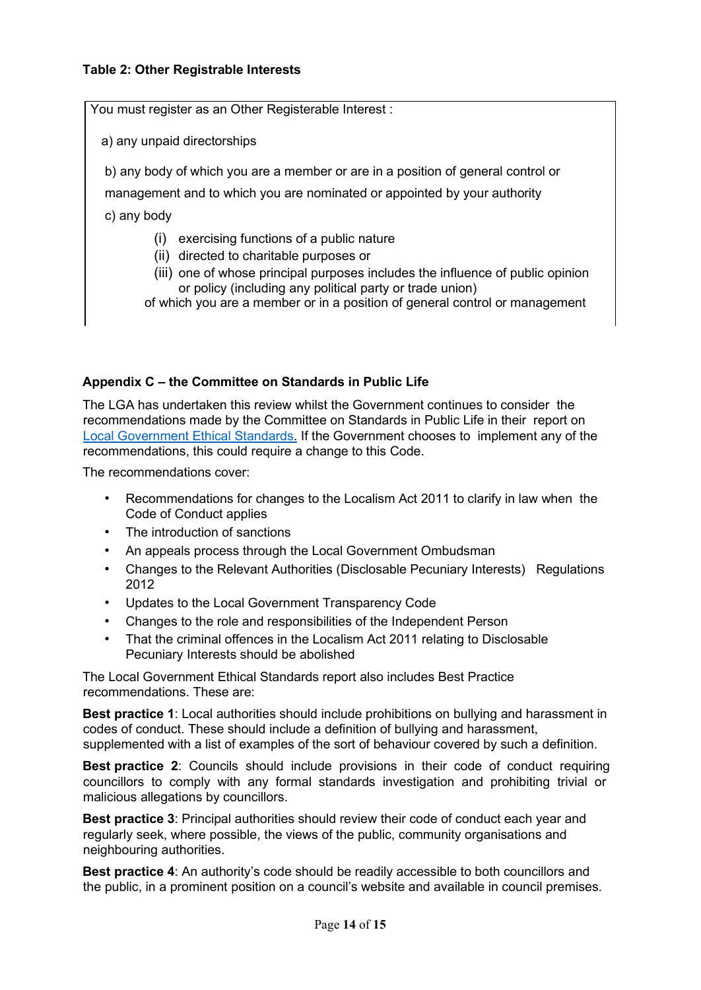#### **Table 2: Other Registrable Interests**

You must register as an Other Registerable Interest :

a) any unpaid directorships

b) any body of which you are a member or are in a position of general control or

management and to which you are nominated or appointed by your authority

c) any body

- (i) exercising functions of a public nature
- (ii) directed to charitable purposes or
- (iii) one of whose principal purposes includes the influence of public opinion or policy (including any political party or trade union)

of which you are a member or in a position of general control or management

#### **Appendix C – the Committee on Standards in Public Life**

The LGA has undertaken this review whilst the Government continues to consider the recommendations made by the Committee on Standards in Public Life in their report on [Local Government Ethical Standards.](https://www.gov.uk/government/publications/local-government-ethical-standards-report) [I](https://www.gov.uk/government/publications/local-government-ethical-standards-report)f the Government chooses to implement any of the recommendations, this could require a change to this Code.

The recommendations cover:

- Recommendations for changes to the Localism Act 2011 to clarify in law when the Code of Conduct applies
- The introduction of sanctions
- An appeals process through the Local Government Ombudsman
- Changes to the Relevant Authorities (Disclosable Pecuniary Interests) Regulations 2012
- Updates to the Local Government Transparency Code
- Changes to the role and responsibilities of the Independent Person
- That the criminal offences in the Localism Act 2011 relating to Disclosable Pecuniary Interests should be abolished

The Local Government Ethical Standards report also includes Best Practice recommendations. These are:

**Best practice 1**: Local authorities should include prohibitions on bullying and harassment in codes of conduct. These should include a definition of bullying and harassment, supplemented with a list of examples of the sort of behaviour covered by such a definition.

**Best practice 2**: Councils should include provisions in their code of conduct requiring councillors to comply with any formal standards investigation and prohibiting trivial or malicious allegations by councillors.

**Best practice 3**: Principal authorities should review their code of conduct each year and regularly seek, where possible, the views of the public, community organisations and neighbouring authorities.

**Best practice 4**: An authority's code should be readily accessible to both councillors and the public, in a prominent position on a council's website and available in council premises.